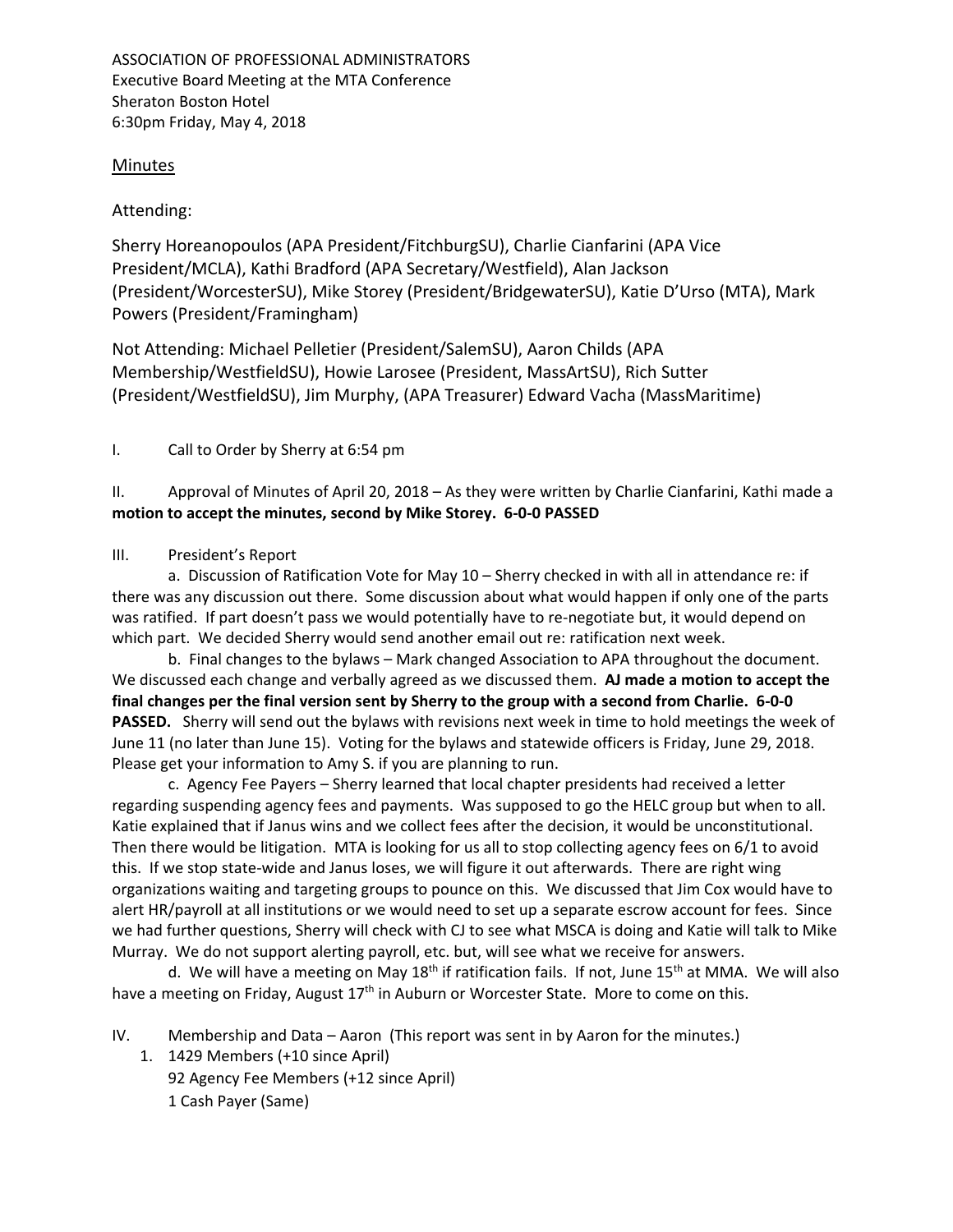ASSOCIATION OF PROFESSIONAL ADMINISTRATORS Executive Board Meeting at the MTA Conference Sheraton Boston Hotel 6:30pm Friday, May 4, 2018

## **Minutes**

## Attending:

Sherry Horeanopoulos (APA President/FitchburgSU), Charlie Cianfarini (APA Vice President/MCLA), Kathi Bradford (APA Secretary/Westfield), Alan Jackson (President/WorcesterSU), Mike Storey (President/BridgewaterSU), Katie D'Urso (MTA), Mark Powers (President/Framingham)

Not Attending: Michael Pelletier (President/SalemSU), Aaron Childs (APA Membership/WestfieldSU), Howie Larosee (President, MassArtSU), Rich Sutter (President/WestfieldSU), Jim Murphy, (APA Treasurer) Edward Vacha (MassMaritime)

I. Call to Order by Sherry at 6:54 pm

II. Approval of Minutes of April 20, 2018 – As they were written by Charlie Cianfarini, Kathi made a **motion to accept the minutes, second by Mike Storey. 6‐0‐0 PASSED**

## III. President's Report

 a. Discussion of Ratification Vote for May 10 – Sherry checked in with all in attendance re: if there was any discussion out there. Some discussion about what would happen if only one of the parts was ratified. If part doesn't pass we would potentially have to re-negotiate but, it would depend on which part. We decided Sherry would send another email out re: ratification next week.

 b. Final changes to the bylaws – Mark changed Association to APA throughout the document. We discussed each change and verbally agreed as we discussed them. **AJ made a motion to accept the final changes per the final version sent by Sherry to the group with a second from Charlie. 6‐0‐0 PASSED.** Sherry will send out the bylaws with revisions next week in time to hold meetings the week of June 11 (no later than June 15). Voting for the bylaws and statewide officers is Friday, June 29, 2018. Please get your information to Amy S. if you are planning to run.

 c. Agency Fee Payers – Sherry learned that local chapter presidents had received a letter regarding suspending agency fees and payments. Was supposed to go the HELC group but when to all. Katie explained that if Janus wins and we collect fees after the decision, it would be unconstitutional. Then there would be litigation. MTA is looking for us all to stop collecting agency fees on 6/1 to avoid this. If we stop state‐wide and Janus loses, we will figure it out afterwards. There are right wing organizations waiting and targeting groups to pounce on this. We discussed that Jim Cox would have to alert HR/payroll at all institutions or we would need to set up a separate escrow account for fees. Since we had further questions, Sherry will check with CJ to see what MSCA is doing and Katie will talk to Mike Murray. We do not support alerting payroll, etc. but, will see what we receive for answers.

d. We will have a meeting on May 18<sup>th</sup> if ratification fails. If not, June 15<sup>th</sup> at MMA. We will also have a meeting on Friday, August 17<sup>th</sup> in Auburn or Worcester State. More to come on this.

IV. Membership and Data – Aaron (This report was sent in by Aaron for the minutes.)

1. 1429 Members (+10 since April) 92 Agency Fee Members (+12 since April) 1 Cash Payer (Same)